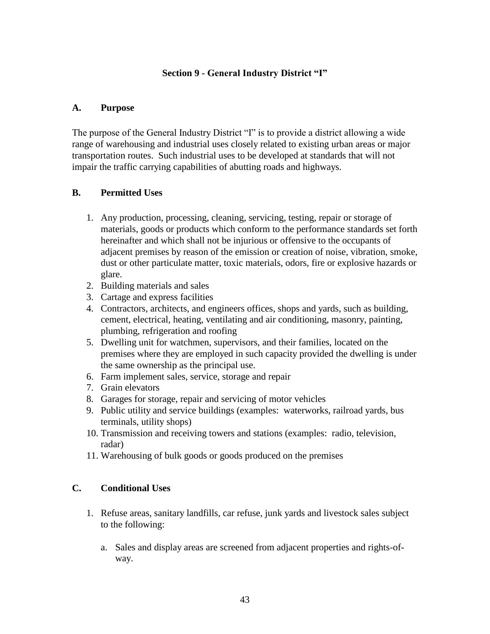### **Section 9 - General Industry District "I"**

### **A. Purpose**

The purpose of the General Industry District "I" is to provide a district allowing a wide range of warehousing and industrial uses closely related to existing urban areas or major transportation routes. Such industrial uses to be developed at standards that will not impair the traffic carrying capabilities of abutting roads and highways.

### **B. Permitted Uses**

- 1. Any production, processing, cleaning, servicing, testing, repair or storage of materials, goods or products which conform to the performance standards set forth hereinafter and which shall not be injurious or offensive to the occupants of adjacent premises by reason of the emission or creation of noise, vibration, smoke, dust or other particulate matter, toxic materials, odors, fire or explosive hazards or glare.
- 2. Building materials and sales
- 3. Cartage and express facilities
- 4. Contractors, architects, and engineers offices, shops and yards, such as building, cement, electrical, heating, ventilating and air conditioning, masonry, painting, plumbing, refrigeration and roofing
- 5. Dwelling unit for watchmen, supervisors, and their families, located on the premises where they are employed in such capacity provided the dwelling is under the same ownership as the principal use.
- 6. Farm implement sales, service, storage and repair
- 7. Grain elevators
- 8. Garages for storage, repair and servicing of motor vehicles
- 9. Public utility and service buildings (examples: waterworks, railroad yards, bus terminals, utility shops)
- 10. Transmission and receiving towers and stations (examples: radio, television, radar)
- 11. Warehousing of bulk goods or goods produced on the premises

### **C. Conditional Uses**

- 1. Refuse areas, sanitary landfills, car refuse, junk yards and livestock sales subject to the following:
	- a. Sales and display areas are screened from adjacent properties and rights-ofway.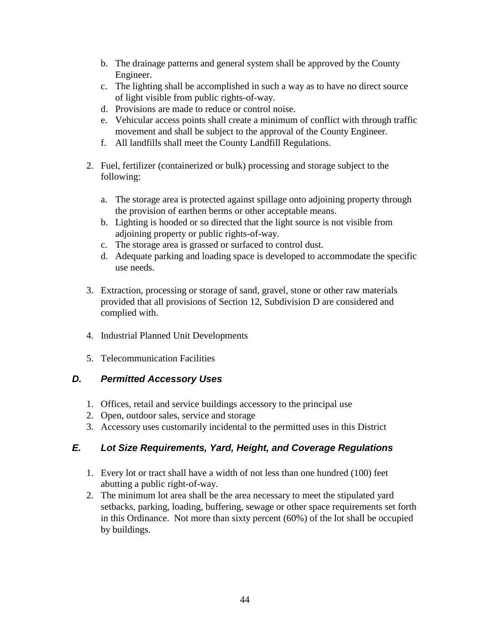- b. The drainage patterns and general system shall be approved by the County Engineer.
- c. The lighting shall be accomplished in such a way as to have no direct source of light visible from public rights-of-way.
- d. Provisions are made to reduce or control noise.
- e. Vehicular access points shall create a minimum of conflict with through traffic movement and shall be subject to the approval of the County Engineer.
- f. All landfills shall meet the County Landfill Regulations.
- 2. Fuel, fertilizer (containerized or bulk) processing and storage subject to the following:
	- a. The storage area is protected against spillage onto adjoining property through the provision of earthen berms or other acceptable means.
	- b. Lighting is hooded or so directed that the light source is not visible from adjoining property or public rights-of-way.
	- c. The storage area is grassed or surfaced to control dust.
	- d. Adequate parking and loading space is developed to accommodate the specific use needs.
- 3. Extraction, processing or storage of sand, gravel, stone or other raw materials provided that all provisions of Section 12, Subdivision D are considered and complied with.
- 4. Industrial Planned Unit Developments
- 5. Telecommunication Facilities

### *D. Permitted Accessory Uses*

- 1. Offices, retail and service buildings accessory to the principal use
- 2. Open, outdoor sales, service and storage
- 3. Accessory uses customarily incidental to the permitted uses in this District

### *E. Lot Size Requirements, Yard, Height, and Coverage Regulations*

- 1. Every lot or tract shall have a width of not less than one hundred (100) feet abutting a public right-of-way.
- 2. The minimum lot area shall be the area necessary to meet the stipulated yard setbacks, parking, loading, buffering, sewage or other space requirements set forth in this Ordinance. Not more than sixty percent (60%) of the lot shall be occupied by buildings.